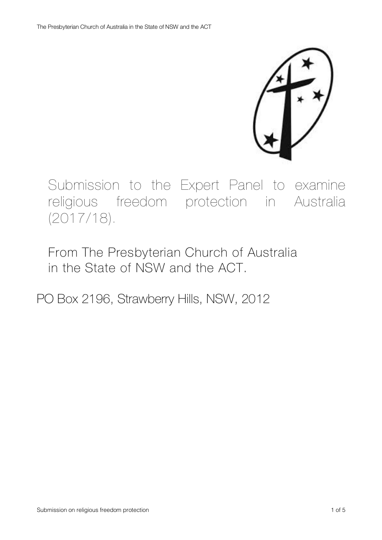Submission to the Expert Panel to examine religious freedom protection in Australia (2017/18).

From The Presbyterian Church of Australia in the State of NSW and the ACT.

PO Box 2196, Strawberry Hills, NSW, 2012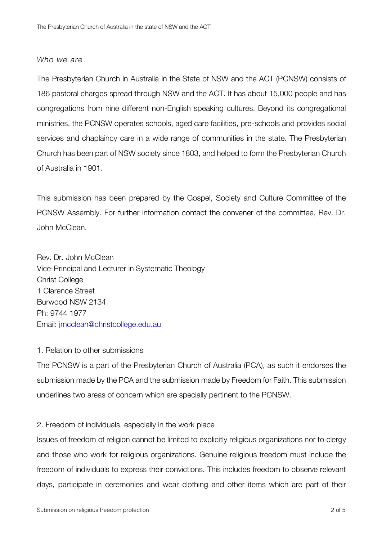#### *Who we are*

The Presbyterian Church in Australia in the State of NSW and the ACT (PCNSW) consists of 186 pastoral charges spread through NSW and the ACT. It has about 15,000 people and has congregations from nine different non-English speaking cultures. Beyond its congregational ministries, the PCNSW operates schools, aged care facilities, pre-schools and provides social services and chaplaincy care in a wide range of communities in the state. The Presbyterian Church has been part of NSW society since 1803, and helped to form the Presbyterian Church of Australia in 1901.

This submission has been prepared by the Gospel, Society and Culture Committee of the PCNSW Assembly. For further information contact the convener of the committee, Rev. Dr. John McClean.

Rev. Dr. John McClean Vice-Principal and Lecturer in Systematic Theology Christ College 1 Clarence Street Burwood NSW 2134 Ph: 9744 1977 Email: jmcclean@christcollege.edu.au

## 1. Relation to other submissions

The PCNSW is a part of the Presbyterian Church of Australia (PCA), as such it endorses the submission made by the PCA and the submission made by Freedom for Faith. This submission underlines two areas of concern which are specially pertinent to the PCNSW.

## 2. Freedom of individuals, especially in the work place

Issues of freedom of religion cannot be limited to explicitly religious organizations nor to clergy and those who work for religious organizations. Genuine religious freedom must include the freedom of individuals to express their convictions. This includes freedom to observe relevant days, participate in ceremonies and wear clothing and other items which are part of their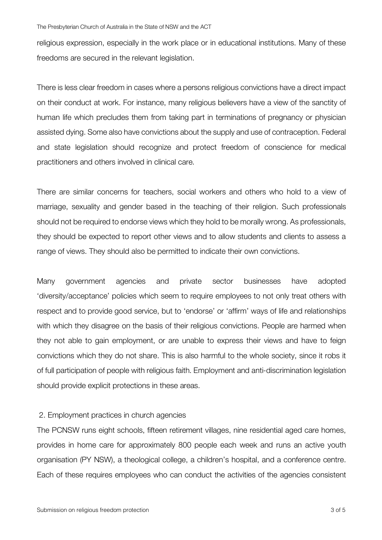religious expression, especially in the work place or in educational institutions. Many of these freedoms are secured in the relevant legislation.

There is less clear freedom in cases where a persons religious convictions have a direct impact on their conduct at work. For instance, many religious believers have a view of the sanctity of human life which precludes them from taking part in terminations of pregnancy or physician assisted dying. Some also have convictions about the supply and use of contraception. Federal and state legislation should recognize and protect freedom of conscience for medical practitioners and others involved in clinical care.

There are similar concerns for teachers, social workers and others who hold to a view of marriage, sexuality and gender based in the teaching of their religion. Such professionals should not be required to endorse views which they hold to be morally wrong. As professionals, they should be expected to report other views and to allow students and clients to assess a range of views. They should also be permitted to indicate their own convictions.

Many government agencies and private sector businesses have adopted 'diversity/acceptance' policies which seem to require employees to not only treat others with respect and to provide good service, but to 'endorse' or 'affirm' ways of life and relationships with which they disagree on the basis of their religious convictions. People are harmed when they not able to gain employment, or are unable to express their views and have to feign convictions which they do not share. This is also harmful to the whole society, since it robs it of full participation of people with religious faith. Employment and anti-discrimination legislation should provide explicit protections in these areas.

## 2. Employment practices in church agencies

The PCNSW runs eight schools, fifteen retirement villages, nine residential aged care homes, provides in home care for approximately 800 people each week and runs an active youth organisation (PY NSW), a theological college, a children's hospital, and a conference centre. Each of these requires employees who can conduct the activities of the agencies consistent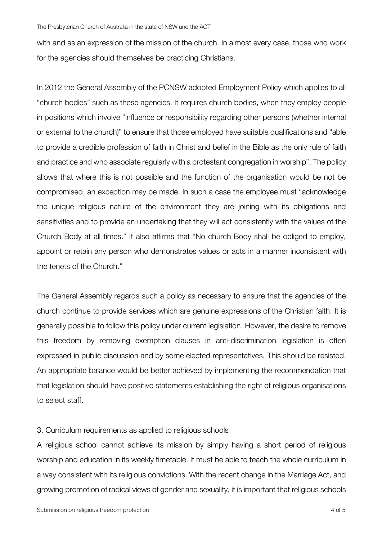with and as an expression of the mission of the church. In almost every case, those who work for the agencies should themselves be practicing Christians.

In 2012 the General Assembly of the PCNSW adopted Employment Policy which applies to all "church bodies" such as these agencies. It requires church bodies, when they employ people in positions which involve "influence or responsibility regarding other persons (whether internal or external to the church)" to ensure that those employed have suitable qualifications and "able to provide a credible profession of faith in Christ and belief in the Bible as the only rule of faith and practice and who associate regularly with a protestant congregation in worship". The policy allows that where this is not possible and the function of the organisation would be not be compromised, an exception may be made. In such a case the employee must "acknowledge the unique religious nature of the environment they are joining with its obligations and sensitivities and to provide an undertaking that they will act consistently with the values of the Church Body at all times." It also affirms that "No church Body shall be obliged to employ, appoint or retain any person who demonstrates values or acts in a manner inconsistent with the tenets of the Church."

The General Assembly regards such a policy as necessary to ensure that the agencies of the church continue to provide services which are genuine expressions of the Christian faith. It is generally possible to follow this policy under current legislation. However, the desire to remove this freedom by removing exemption clauses in anti-discrimination legislation is often expressed in public discussion and by some elected representatives. This should be resisted. An appropriate balance would be better achieved by implementing the recommendation that that legislation should have positive statements establishing the right of religious organisations to select staff.

## 3. Curriculum requirements as applied to religious schools

A religious school cannot achieve its mission by simply having a short period of religious worship and education in its weekly timetable. It must be able to teach the whole curriculum in a way consistent with its religious convictions. With the recent change in the Marriage Act, and growing promotion of radical views of gender and sexuality, it is important that religious schools